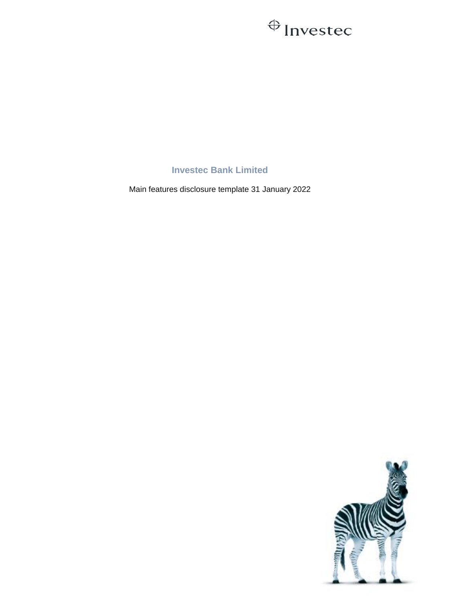## $\bigoplus$  Investec

**Investec Bank Limited**

Main features disclosure template 31 January 2022

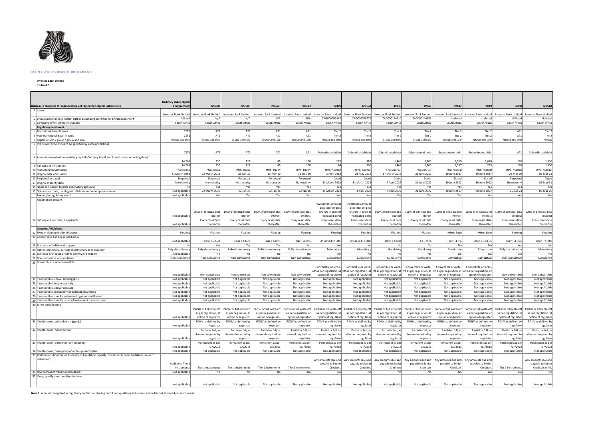

## **MAIN FEATURES DISCLOSURE TEMPLATE**

**Investec Bank Limited**

**31-Jan-22**

|                                                                                                            | Ordinary share capital   | <b>IV048U</b>                             | <b>IV051L</b>                   | <b>IV052U</b>                   |                                 |                                                                               | <b>IV019A</b>                                 | <b>IV035</b>                    |                                                                                                                                                                                                                                |                                 | <b>IV049</b>                              | <b>IV050</b>                                    | <b>IV054U</b>                             |
|------------------------------------------------------------------------------------------------------------|--------------------------|-------------------------------------------|---------------------------------|---------------------------------|---------------------------------|-------------------------------------------------------------------------------|-----------------------------------------------|---------------------------------|--------------------------------------------------------------------------------------------------------------------------------------------------------------------------------------------------------------------------------|---------------------------------|-------------------------------------------|-------------------------------------------------|-------------------------------------------|
| Disclosure template for main features of regulatory capital instruments<br>1 Issuer                        | and premiun              |                                           |                                 |                                 | <b>IV053U</b>                   | <b>IV019</b>                                                                  |                                               |                                 | <b>IV046</b>                                                                                                                                                                                                                   | <b>IV047</b>                    |                                           |                                                 |                                           |
|                                                                                                            | Investec Bank Limited    | Investec Bank Limited                     | Investec Bank Limited           | Investec Bank Limited           | Investec Bank Limited           |                                                                               | Investec Bank Limited   Investec Bank Limited |                                 | Investec Bank Limited   Investec Bank Limited                                                                                                                                                                                  | Investec Bank Limited           | Investec Bank Limited                     | Investec Bank Limited                           | Investec Bank Limited                     |
| 2 Unique identifier (e.g. CUSIP, ISIN or Bloomberg identifier for private placement)                       | Unlisted                 | N/A                                       | N/A                             | N/A                             | N/A                             | ZAG000094442                                                                  | ZAG000095779                                  | ZAG000134610                    | ZAG000144585                                                                                                                                                                                                                   | Unlisted                        | Unlisted                                  | Unlisted                                        | Unlisted                                  |
| 3 Governing law(s) of the instrument                                                                       | South Africa             | South Africa                              | South Africa                    | South Africa                    | South Africa                    | South Africa                                                                  | South Africa                                  | South Africa                    | South Africa                                                                                                                                                                                                                   | South Africa                    | South Africa                              | South Africa                                    | South Africa                              |
| <b>Regulatory treatment</b>                                                                                |                          |                                           |                                 |                                 |                                 |                                                                               |                                               |                                 |                                                                                                                                                                                                                                |                                 |                                           |                                                 |                                           |
| 4 Transitional Basel III rules                                                                             | CET1                     | AT1                                       | AT1                             | AT1                             | AT1                             | Tier 2                                                                        | Tier 2                                        | Tier 2                          | Tier 2                                                                                                                                                                                                                         | Tier 2                          | Tier 2                                    | AT1                                             | Tier 2                                    |
| 5 Post-transitional Basel III rules                                                                        | CET1                     | AT1                                       | AT1                             | AT1                             | AT1                             | Tier 2                                                                        | Tier 2                                        | Tier 2                          | Tier 2                                                                                                                                                                                                                         | Tier 2                          | Tier 2                                    | AT1                                             | Tier 2                                    |
| 6 Eligible at solo / group / group and solo                                                                | Group and solo           | Group and solo                            | Group and solo                  | Group and solo                  | Group and solo                  | Group and solo                                                                | Group and solo                                | Group and solo                  | Group and solo                                                                                                                                                                                                                 | Group and solo                  | Group and solo                            | Group and solo                                  | Group                                     |
| 7 Instrument type (types to be specified by each jurisdiction)                                             |                          |                                           |                                 |                                 |                                 |                                                                               |                                               |                                 |                                                                                                                                                                                                                                |                                 |                                           |                                                 |                                           |
|                                                                                                            |                          |                                           |                                 |                                 |                                 |                                                                               |                                               |                                 |                                                                                                                                                                                                                                |                                 |                                           |                                                 |                                           |
|                                                                                                            | CET1                     | AT1                                       | AT1                             | AT1                             | AT1                             | Subordinated debt                                                             | Subordinated debt                             | Subordinated debt               | Subordinated debt                                                                                                                                                                                                              | Subordinated debt               | Subordinated debt                         | AT1                                             | Subordinated debt                         |
| 8 Amount recognised in regulatory capital (Currency in mil, as of most recent reporting date) <sup>1</sup> |                          |                                           |                                 |                                 |                                 |                                                                               |                                               |                                 |                                                                                                                                                                                                                                |                                 |                                           |                                                 |                                           |
|                                                                                                            | 14,268                   | 350                                       | 128                             | 45                              | 100                             | 229                                                                           | 383                                           | 1,468                           | 1,200                                                                                                                                                                                                                          | 1,759                           | 1,079                                     | 110                                             | 1,636                                     |
| 9 Par value of instrument                                                                                  | 14,268                   | 350                                       | 128                             | 45                              | 100                             | 64                                                                            | 230                                           | 1,468                           | 1,200                                                                                                                                                                                                                          | 1,517                           | 783                                       | 110                                             | 1,636                                     |
| 10 Accounting classification                                                                               | <b>IFRS: Equity</b>      | <b>IFRS: Equity</b>                       | <b>IFRS: Equity</b>             | <b>IFRS: Equity</b>             | <b>IFRS: Equity</b>             | IFRS: Accrual                                                                 | <b>IFRS: Accrual</b>                          | IFRS: Accrual                   | <b>IFRS: Accrual</b>                                                                                                                                                                                                           | <b>IFRS: Accrual</b>            | <b>IFRS: Accrual</b>                      | <b>IFRS: Accrual</b>                            | <b>IFRS: Accrual</b>                      |
| 11 Original date of issuance                                                                               | 31 March 1969            | 22 March 2018                             | 22-Oct-20                       | 25-Nov-20                       | 15-Dec-20                       | 2 April 2012                                                                  | 28 May 2012                                   | 17 March 2016                   | 21 June 2017                                                                                                                                                                                                                   | 30 June 2017                    | 30 June 2017                              | 26-Mar-19                                       | 09-Mar-21                                 |
| 12 Perpetual or dated                                                                                      | Perpetual                | Perpetual                                 | Perpetual                       | Perpetual                       | Perpetual                       | Dated                                                                         | Dated                                         | Dated                           | Dated                                                                                                                                                                                                                          | Dated                           | Dated                                     | Perpetual                                       | Dated                                     |
| 13 Original maturity date                                                                                  | No maturity              | No maturity                               | No maturity                     | No maturity                     | No maturity                     | 31 March 2028                                                                 | 31 March 2028                                 | 7 April 2027                    | 21 June 2027                                                                                                                                                                                                                   | 30 June 2022                    | 30 June 2022                              | No maturity                                     | 09-Mar-31                                 |
| 14 Issuer call subject to prior supervisory approval                                                       | No                       | Yes                                       | Yes                             | Yes                             | Yes                             | Yes                                                                           | Yes                                           | Yes                             | Yes                                                                                                                                                                                                                            | Yes                             | Yes                                       | Yes                                             | Yes                                       |
| 15 Optional call date, contingent call dates and redemption amount                                         | Not applicable           | 22 March 2023                             | 22-Jan-26                       | 22-Jan-26                       | 22-Jan-26                       | 31 March 2023                                                                 | 3 April 2023                                  | 7 April 2022                    | 21 June 2022                                                                                                                                                                                                                   | 30 June 2027                    | 30 June 2027                              | 26-Jun-24                                       | 09-Mar-26                                 |
| Tax and/or regulatory event                                                                                | Not applicable           | Yes                                       | Yes                             | Yes                             | Yes                             | Yes                                                                           | Yes                                           | Yes                             | Yes                                                                                                                                                                                                                            | Yes                             | Yesl                                      | Yes                                             | Yes                                       |
| Redemption amount                                                                                          |                          |                                           |                                 |                                 |                                 |                                                                               |                                               |                                 |                                                                                                                                                                                                                                |                                 |                                           |                                                 |                                           |
|                                                                                                            |                          |                                           |                                 |                                 |                                 | Investment amount                                                             | Investment amount                             |                                 |                                                                                                                                                                                                                                |                                 |                                           |                                                 |                                           |
|                                                                                                            |                          |                                           |                                 |                                 |                                 | plus interest plus                                                            | plus interest plus                            |                                 |                                                                                                                                                                                                                                |                                 |                                           |                                                 |                                           |
|                                                                                                            |                          | 100% of principal plus                    | 100% of principal plus          | 100% of principal plus          | 100% of principal plus          | change in price of                                                            | change in price of                            | 100% of principal and           | 100% of principal and                                                                                                                                                                                                          | 100% of principal and           | 100% of principal and                     | 100% of principal plus                          | 100% of principal plus                    |
|                                                                                                            | Not applicable           | interest                                  | interest                        | interest                        | interest                        | replicated bond                                                               | replicated bond                               | interest                        | interest                                                                                                                                                                                                                       | interest                        | interest                                  | interest                                        | interest                                  |
| 16 Subsequent call date, if applicable                                                                     |                          | Every reset date                          | Every reset date                | Every reset date                | Every reset date                | Every reset date                                                              | Every reset date                              | Every reset date                | Every reset date                                                                                                                                                                                                               | Every reset date                | Every reset date                          | Every reset date                                | Every reset date                          |
|                                                                                                            | Not applicable           | thereafter                                | thereafter                      | thereafter                      | thereafter                      | thereafter                                                                    | thereafter                                    | thereafter                      | thereafter                                                                                                                                                                                                                     | thereafter                      | thereafter                                | thereafter                                      | thereafter                                |
| <b>Coupons / dividends</b>                                                                                 |                          |                                           |                                 |                                 |                                 |                                                                               |                                               |                                 |                                                                                                                                                                                                                                |                                 |                                           |                                                 |                                           |
| 17 Fixed or floating dividend coupon                                                                       | Floating                 | Floating                                  | Floating                        | Floating                        | Floating                        | Floating                                                                      | Floating                                      | Floating                        | Floating                                                                                                                                                                                                                       | <b>Mixed Rate</b>               | <b>Mixed Rate</b>                         | Floating                                        | Floating                                  |
| 18 Coupon rate and any related index                                                                       |                          |                                           |                                 |                                 |                                 |                                                                               |                                               |                                 |                                                                                                                                                                                                                                |                                 |                                           |                                                 |                                           |
|                                                                                                            | Not applicable           | Jibar + 5.15%                             | Jibar + 4.85%                   | Jibar + 4.85%                   | Jibar + 4.85%                   | CPI-linked: 2.60%                                                             | CPI-linked: 2.60%                             | Jibar + 4.65%                   | $J + 3.90%$                                                                                                                                                                                                                    | Libor + $4.5%$                  | Libor + 3.413%                            | Jibar + 4.55%                                   | Jibar + 2.60%                             |
| 19 Existence of a dividend stopper                                                                         | No                       | Yes                                       | Yes                             | Yes                             | Yes                             | No                                                                            | No                                            | No                              | No                                                                                                                                                                                                                             | No                              | No                                        | Yes                                             | No                                        |
| 20 Fully discretionary, partially discretionary or mandatory                                               | Fully discretionary      | Fully discretionary                       | Fully discretionary             | Fully discretionary             | Fully discretionary             | Mandatory                                                                     | Mandatory                                     | Mandatory                       | Mandatory                                                                                                                                                                                                                      | Mandatory                       | Mandatory                                 | Fully discretionary                             | Mandatory                                 |
| 21 Existence of step up or other incentive to redeem                                                       | Not applicable           | N <sub>0</sub>                            | No                              | No                              | No.                             | No l                                                                          | No                                            | Nol                             | No                                                                                                                                                                                                                             | Nol                             | No l                                      | Nol                                             | No                                        |
| 22 Non-cumulative or cumulative                                                                            | Non-cumulative           | Non-cumulative                            | Non-cumulative                  | Non-cumulative                  | Non-cumulative                  | Cumulative                                                                    | Cumulative                                    | Cumulative                      | Cumulative                                                                                                                                                                                                                     | Cumulative                      | Cumulative                                | Non-cumulative                                  | Cumulative                                |
| 23 Convertible or non-convertible                                                                          |                          |                                           |                                 |                                 |                                 |                                                                               |                                               |                                 |                                                                                                                                                                                                                                |                                 |                                           |                                                 |                                           |
|                                                                                                            |                          |                                           |                                 |                                 |                                 | Convertible or write-                                                         | Convertible or write-                         | Convertible or write-           | Convertible or write-                                                                                                                                                                                                          | Convertible or write-           | Convertible or write-                     |                                                 |                                           |
|                                                                                                            |                          |                                           |                                 |                                 |                                 |                                                                               |                                               |                                 | off as per regulation, at off as per regulation, at off as per regulation, at off as per regulation, at off as per regulation, at off as per regulation, at                                                                    |                                 |                                           |                                                 |                                           |
|                                                                                                            | Not applicable           | Non-convertible                           | Non-convertible                 | Non-convertible                 | Non-convertible                 | option of regulator                                                           | option of regulator                           | option of regulator             | option of regulator                                                                                                                                                                                                            | option of regulator             | option of regulator                       | Non-convertible                                 | Non-convertible                           |
| 24 if convertible, conversion trigger(s)                                                                   | Not applicable           | Not applicable                            | Not applicable                  | Not applicable                  | Not applicable                  | Not applicable                                                                | Not applicable                                | Not applicable                  | Not applicable                                                                                                                                                                                                                 | Not applicable                  | Not applicable                            | Not applicable                                  | Not applicable                            |
| 25 if convertible, fully or partially                                                                      | Not applicable           | Not applicable                            | Not applicable                  | Not applicable                  | Not applicable                  | Not applicable                                                                | Not applicable                                | Not applicable                  | Not applicable                                                                                                                                                                                                                 | Not applicable                  | Not applicable                            | Not applicable                                  | Not applicable                            |
| 26 if convertible, conversion rate                                                                         | Not applicable           | Not applicable                            | Not applicable                  | Not applicable                  | Not applicable                  | Not applicable                                                                | Not applicable                                | Not applicable                  | Not applicable                                                                                                                                                                                                                 | Not applicable                  | Not applicable                            | Not applicable                                  | Not applicable                            |
| 27 if convertible, mandatory or optional conversion                                                        | Not applicable           | Not applicable                            | Not applicable                  | Not applicable                  | Not applicable                  | Not applicable                                                                | Not applicable                                | Not applicable                  | Not applicable                                                                                                                                                                                                                 | Not applicable                  | Not applicable                            | Not applicable                                  | Not applicable                            |
| 28 if convertible, specify instrument type convertible into                                                | Not applicable           | Not applicable                            | Not applicable                  | Not applicable                  | Not applicable                  | Not applicable                                                                | Not applicable                                | Not applicable                  | Not applicable                                                                                                                                                                                                                 | Not applicable                  | Not applicable                            | Not applicable                                  | Not applicable                            |
| 29 if convertible, specify issuer of instrument it converts into                                           | Not applicable           | Not applicable                            | Not applicable                  | Not applicable                  | Not applicable                  | Not applicable                                                                | Not applicable                                | Not applicable                  | Not applicable                                                                                                                                                                                                                 | Not applicable                  | Not applicable                            | Not applicable                                  | Not applicable                            |
| 30 Write-down feature                                                                                      |                          |                                           |                                 |                                 |                                 |                                                                               |                                               |                                 |                                                                                                                                                                                                                                |                                 |                                           |                                                 |                                           |
|                                                                                                            |                          |                                           |                                 |                                 |                                 |                                                                               |                                               |                                 | Partial or full write-off  Partial or full write-off  Partial or full write-off  Partial or full write-off  Partial or full write-off  Partial or full write-off  Partial or full write-off  Partial or full write-off  Partia |                                 |                                           |                                                 |                                           |
|                                                                                                            | Not applicable           | as per regulation, at                     | as per regulation, at           | as per regulation, at           | option of regulator             | as per regulation, at $ $ as per regulation, at $ $ as per regulation, at $ $ |                                               |                                 | as per regulation, at $\vert$ as per regulation, at $\vert$                                                                                                                                                                    | as per regulation, at           | option of regulator                       | as per regulation, at $ $ as per regulation, at | as per regulation, at                     |
|                                                                                                            |                          | option of regulator                       | option of regulator             | option of regulator             |                                 | option of regulator                                                           | option of regulator                           | option of regulator             | option of regulator                                                                                                                                                                                                            | option of regulator             | PONV as defined by                        | option of regulator                             | option of regulator<br>PONV as defined by |
| 31 If write-down, write-down trigger(s)                                                                    | Not applicable           | PONV as defined by<br>regulator           | PONV as defined by<br>regulator | PONV as defined by<br>regulator | PONV as defined by<br>regulator | PONV as defined by<br>regulator                                               | PONV as defined by<br>regulator               | PONV as defined by<br>regulator | PONV as defined by<br>regulator                                                                                                                                                                                                | PONV as defined by<br>regulator | regulator                                 | PONV as defined by<br>regulator                 | regulator                                 |
| 32 If write-down, full or partial                                                                          |                          |                                           | Partial or full, as             | Partial or full, as             | Partial or full, as             | Partial or full, as                                                           | Partial or full, as                           | Partial or full, as             |                                                                                                                                                                                                                                | Partial or full, as             |                                           |                                                 | Partial or full, as                       |
|                                                                                                            |                          | Partial or full, as<br>deemed required by | deemed required by              | deemed required by              | deemed required by              | deemed required by                                                            | deemed required by                            | deemed required by              | Partial or full, as<br>deemed required by                                                                                                                                                                                      | deemed required by              | Partial or full, as<br>deemed required by | Partial or full, as<br>deemed required by       | deemed required by                        |
|                                                                                                            | Not applicable           | regulator                                 | regulator                       | regulator                       | regulator                       | regulator                                                                     | regulator                                     | regulator                       | regulator                                                                                                                                                                                                                      | regulator                       | regulator                                 | regulator                                       | regulator                                 |
| 33 If write-down, permanent or temporary                                                                   |                          | Permanent as per                          | Permanent as per                | Permanent as per                | Permanent as per                | Permanent as per                                                              | Permanent as per                              | Permanent as per                | Permanent as per                                                                                                                                                                                                               | Permanent as per                | Permanent as per                          | Permanent as per                                | Permanent as per                          |
|                                                                                                            | Not applicable           | G7/2013                                   | G7/2013                         | G7/2013                         | G7/2013                         | G7/2013                                                                       | G7/2013                                       | G7/2013                         | G7/2013                                                                                                                                                                                                                        | G7/2013                         | G7/2013                                   | G7/2013                                         | G7/2013                                   |
| 34 If write-down, description of write-up mechanism                                                        | Not applicable           | Not applicable                            | Not applicable                  | Not applicable                  | Not applicable                  | Not applicable                                                                | Not applicable                                | Not applicable                  | Not applicable                                                                                                                                                                                                                 | Not applicable                  | Not applicable                            | Not applicable                                  | Not applicable                            |
| 35 Position in subordination hierarchy in liquidation (specify instrument type immediately senior to       |                          |                                           |                                 |                                 |                                 |                                                                               |                                               |                                 |                                                                                                                                                                                                                                |                                 |                                           |                                                 |                                           |
| (instrument)                                                                                               |                          |                                           |                                 |                                 |                                 |                                                                               | Any amounts due and Any amounts due and       | Any amounts due and             | Any amounts due and                                                                                                                                                                                                            | Any amounts due and             | Any amounts due and                       |                                                 | Any amounts due and                       |
|                                                                                                            | <b>Additional Tier 1</b> |                                           |                                 |                                 |                                 | payable to Senior                                                             | payable to Senior                             | payable to Senior               | payable to Senior                                                                                                                                                                                                              | payable to Senior               | payable to Senior                         |                                                 | payable to Senior                         |
|                                                                                                            | instruments              | Tier 1 instruments                        | Tier 1 instruments              | Tier 1 instruments              | Tier 1 instruments              | Creditors                                                                     | Creditors                                     | Creditors                       | Creditors                                                                                                                                                                                                                      | Creditors                       | Creditors                                 | Tier 1 instruments                              | Creditors st INL                          |
| 36 Non-compliant transitioned features                                                                     | Not applicable           | Nol                                       | No                              | No                              | No                              | No                                                                            | No                                            | No                              | No                                                                                                                                                                                                                             | No                              | No                                        | Nol                                             | No                                        |
| 37 If yes, specify non-compliant features                                                                  |                          |                                           |                                 |                                 |                                 |                                                                               |                                               |                                 |                                                                                                                                                                                                                                |                                 |                                           |                                                 |                                           |
|                                                                                                            |                          |                                           |                                 |                                 |                                 |                                                                               |                                               |                                 |                                                                                                                                                                                                                                |                                 |                                           |                                                 |                                           |
|                                                                                                            | Not applicable           | Not applicable                            | Not applicable                  | Not applicable                  | Not applicable                  | Not applicable                                                                | Not applicable                                | Not applicable                  | Not applicable                                                                                                                                                                                                                 | Not applicable                  | Not applicable                            | Not applicable                                  | Not applicable                            |
|                                                                                                            |                          |                                           |                                 |                                 |                                 |                                                                               |                                               |                                 |                                                                                                                                                                                                                                |                                 |                                           |                                                 |                                           |

**Note 1:** Amount recognised in regulatory capital pre phasing out of non-qualifying instruments whoch is not allocated per instrument